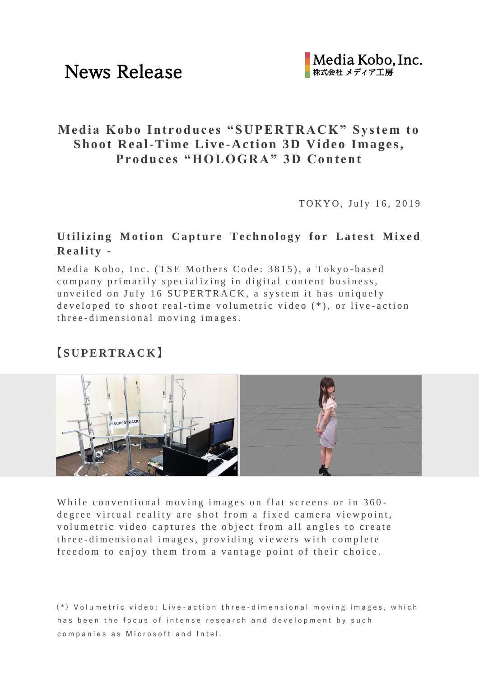## **Media Kobo Introdu ces "SUPERTRACK" System to Shoot Real-Time Live-Action 3D Video Images, Produ ces "HOLOGRA" 3D Content**

TOKYO, July 16, 2019

### **Utilizing Motion Capture Technology for Latest Mixed R e a l i t y -**

Media Kobo, Inc. (TSE Mothers Code: 3815), a Tokyo-based company primarily specializing in digital content business, unveiled on July 16 SUPERTRACK, a system it has uniquely developed to shoot real-time volumetric video  $(*)$ , or live-action three-dimensional moving images.

## **【S U P E R T R A C K】**



While conventional moving images on flat screens or in 360degree virtual reality are shot from a fixed camera viewpoint, volumetric video captures the object from all angles to create th ree-dimensional images, providing viewers with complete freedom to enjoy them from a vantage point of their choice.

 $(*)$  Volumetric video: Live-action three-dimensional moving images, which has been the focus of intense research and development by such companies as Microsoft and Intel.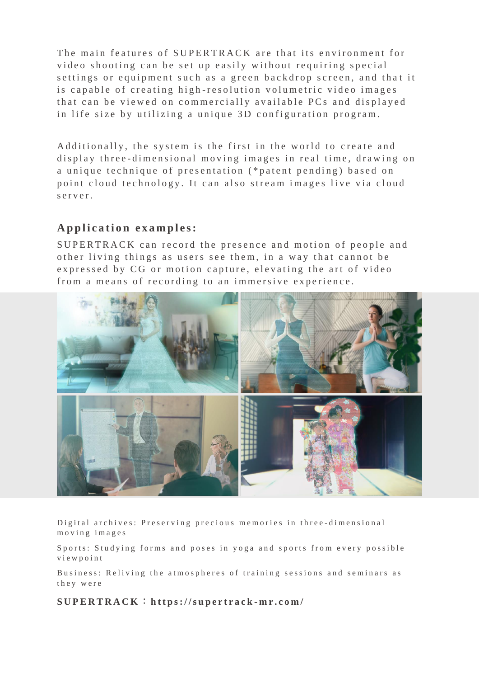The main features of SUPERTRACK are that its environment for video shooting can be set up easily without requiring special settings or equipment such as a green backdrop screen, and that it is capable of creating high-resolution volumetric video images that can be viewed on commercially available PCs and displayed in life size by utilizing a unique 3D configuration program.

Additionally, the system is the first in the world to create and display three-dimensional moving images in real time, drawing on a unique technique of presentation (\*patent pending) based on point cloud technology. It can also stream images live via cloud s er v er.

#### Application examples:

SUPERTRACK can record the presence and motion of people and other living things as users see them, in a way that cannot be expressed by CG or motion capture, elevating the art of video from a means of recording to an immersive experience.



Digital archives: Preserving precious memories in three-dimensional m o v i n g i m a g e s

Sports: Studying forms and poses in yoga and sports from every possible v i e w p o i n t

Business: Reliving the atmospheres of training sessions and seminars as t h e y w e r e

**S U P E R T R A C K** :**h t t p s : / / s u p e r t r a c k - m r . c o m /**